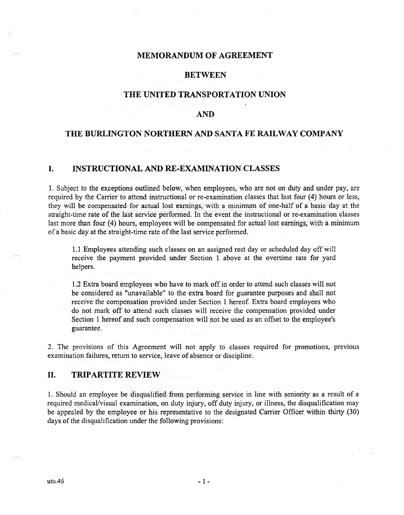## **MEMORANDUM OF AGREEMENT**

# **BETWEEN**

# **THE UNITED TRANSPORTATION UNION**

#### **AND**

## **THE BURLINGTON NORTHERN AND SANTA FE RAILWAY COMPANY**

# **I. INSTRUCTIONAL AND RE-EXAMINATION CLASSES**

1. Subject to the exceptions outlined below, when employees, who are not on duty and under pay, are required by the Carrier to attend instructional or re-examination classes that last four (4) hours or less, they will be compensated for actual lost earnings, with a minimum of one-half of a basic day at the straight-time rate of the last service performed. In the event the instructional or re-examination classes last more than four (4) hours, employees will be compensated for actual lost earnings, with a minimum of a basic day at the straight-time rate of the last service performed.

1.1 Employees attending such classes on an assigned rest day or scheduled day off will receive the payment provided under Section 1 above at the overtime rate for yard helpers.

1.2 Extra board employees who have to mark off in order to attend such classes will not be considered as "unavailable" to the extra board for guarantee purposes and shall not receive the compensation provided under Section 1 hereof. Extra board employees who do not mark off to attend such classes will receive the compensation provided under Section 1 hereof and such compensation will not be used as an offset to the employee's guarantee.

2. The provisions of this Agreement will not apply to classes required for promotions, previous examination failures, return to service, leave of absence or discipline.

#### **II. TRIPARTITE REVIEW**

1. Should an employee be disqualified from performing service in line with seniority as a result of a required medical/visual examination, on duty injury, off duty injury, or illness, the disqualification may be appealed by the employee or his representative to the designated Carrier Officer within thirty (30) days of the disqualification under the following provisions: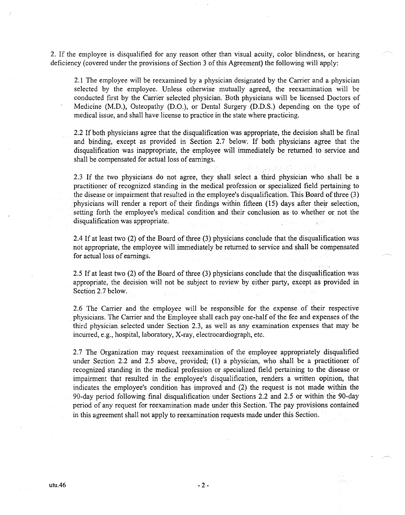2. If the employee is disqualified for any reason other than visual acuity, color blindness, or hearing deficiency (covered under the provisions of Section 3 of this Agreement) the following will apply:

2.1 The employee will be reexamined by a physician designated by the Carrier and a physician selected by the employee. Unless otherwise mutually agreed, the reexamination will be conducted first by the Carrier selected physician. Both physicians will be licensed Doctors of Medicine (M.D.), Osteopathy (D.O.), or Dental Surgery (D.D.S.) depending on the type of medical issue, and shall have license to practice in the state where practicing.

2.2 If both physicians agree that the disqualification was appropriate, the decision shall be final and binding, except as provided in Section 2.7 below. If both physicians agree that the disqualification was inappropriate, the employee will immediately be returned to service and shall be compensated for actual loss of earnings.

2.3 If the two physicians do not agree, they shall select a third physician who shall be a practitioner of recognized standing in the medical profession or specialized field pertaining to the disease or impairment that resulted in the employee's disqualification. This Board of three (3) physicians will render a report of their findings within fifteen (15) days after their selection, setting forth the employee's medical condition and their conclusion as to whether or not the disqualification was appropriate.

2.4 If at least two (2) of the Board of three (3) physicians conclude that the disqualification was not appropriate, the employee will immediately be returned to service and shall be compensated for actual loss of earnings.

2.5 If at least two (2) of the Board of three (3) physicians conclude that the disqualification was appropriate, the decision will not be subject to review by either party, except as provided in Section 2.7 below.

2.6 The Carrier and the employee will be responsible for the expense of their respective physicians. The Carrier and the Employee shall each pay one-half of the fee and expenses of the third physician selected under Section 2.3, as well as any examination expenses that may be incurred, e.g., hospital, laboratory, X-ray, electrocardiograph, etc.

2.7 The Organization may request reexamination of the employee appropriately disqualified under Section 2.2 and 2.5 above, provided; (1) a physician, who shall be a practitioner of recognized standing in the medical profession or specialized field pertaining to the disease or impairment that resulted in the employee's disqualification, renders a written opinion, that indicates the employee's condition has improved and (2) the request is not made within the 90-day period following final disqualification under Sections 2.2 and 2.5 or within the 90-day period of any request for reexamination made under this Section. The pay provisions contained in this agreement shall not apply to reexamination requests made under this Section.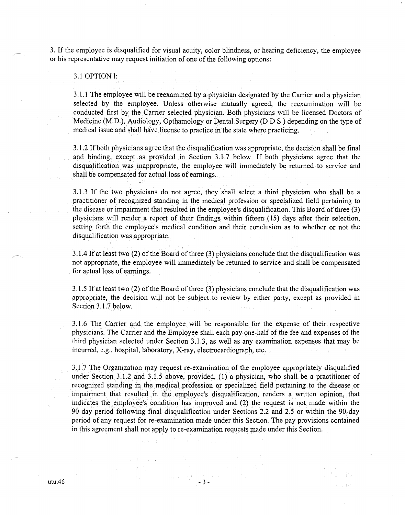3. If the employee is disqualified for visual acuity, color blindness, or hearing deficiency, the employee or his representative may request initiation of one of the following options:

# 3.1 OPTION!:

3.1.1 The employee will be reexamined by a physician designated by the Carrier and a physician selected by the employee. Unless otherwise mutually agreed, the reexamination will be conducted first by the Carrier selected physician. Both physicians will be licensed Doctors of Medicine (M.D.), Audiology, Opthamology or Dental Surgery (D  $\overline{D}$  S) depending on the type of medical issue and shall have license to practice in the state where practicing.

3 .1.2 If both physicians agree that the disqualification was appropriate, the decision shall be final and binding, except as provided in Section 3.1.7 below. If both physicians agree that the disqualification was inappropriate, the employee will immediately be returned to service and shall be compensated for actual loss of earnings.

3 .1.3 If the two physicians do not agree, they shall select a third physician who shall be a practitibner of recognized standing in the medical profession or specialized field pertaining to the disease or impairment that resulted in the employee's disqualification. This Board of three (3) physicians will render a report of their findings within fifteen (15) days after their selection, setting forth the employee's medical condition and their conclusion as to whether or not the disqualification was appropriate.

3 .1.4 If at least two (2) of the Board of three (3) physicians conclude that the disqualification was not appropriate, the employee will immediately be returned to service and shall be compensated for actual loss of earnings.

3 .1.5 If at least two (2) of the Board of three (3) physicians conclude that the disqualification was appropriate, the decision will not be subject to review by either party, except as provided in Section 3.1.7 below.

3.1.6 The Carrier and the employee will be responsible for the expense of their respective physicians. The Carrier and the Employee shall each pay one-half of the fee and expenses of the third physician selected under Section 3 .1.3, as well as any examination expenses that may be incurred, e.g., hospital, laboratory, X-ray, electrocardiograph, etc.

3 .1. 7 The Organization may request re-examination of the employee appropriately disqualified under Section 3.1.2 and 3.1.5 above, provided, (1) a physician, who shall be a practitioner of recognized standing in the medical profession or specialized field pertaining to the disease or impairment that resulted in the employee's disqualification, renders a written opinion, that indicates the employee's condition has improved and (2) the request is not made within the 90-day period following final disqualification under Sections 2.2 and 2.5 or within the 90-day period of any request for re-examination made under this Section. The pay provisions contained in this agreement shall not apply to re-examination requests made under this Section.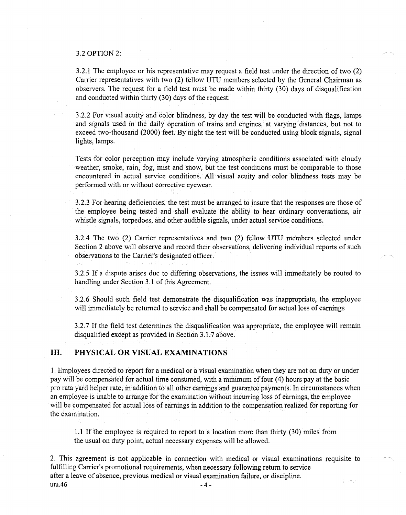#### 3.2 OPTION 2:

3.2.1 The employee or his representative may request a field test under the direction of two (2) Carrier representatives with two (2) fellow UTU members selected by the General Chairman as observers. The request for a field test must be made within thirty (30) days of disqualification and conducted within thirty (30) days of the request.

3.2.2 For visual acuity and color blindness, by day the test will be conducted with flags, lamps and signals used in the daily operation of trains and engines, at varying distances, but not to exceed two-thousand (2000) feet. By night the test will be conducted using block signals, signal lights, lamps.

Tests for color perception may include varying atmospheric conditions associated with cloudy weather, smoke, rain, fog, mist and snow, but the test conditions must be comparable to those encountered in actual service conditions. All visual acuity and color blindness tests may be performed with or without corrective eyewear.

3.2.3 For hearing deficiencies, the test must be arranged to insure that the responses are those of the employee being tested and shall evaluate the ability to hear ordinary conversations, air whistle signals, torpedoes, and other audible signals, under actual service conditions.

3.2.4 The two (2) Carrier representatives and two (2) fellow UTU members selected under Section 2 above will observe and record their observations, delivering individual reports of such observations to the Carrier's designated officer.

3.2.5 If a dispute arises due to differing observations, the issues will immediately be routed to handling under Section 3.1 of this Agreement.

3.2.6 Should such field test demonstrate the disqualification was inappropriate, the employee will immediately be returned to service and shall be compensated for actual loss of earnings

3.2.7 If the field test determines the disqualification was appropriate, the employee will remain disqualified except as provided in Section 3.1.7 above.

### **III. PHYSICAL OR VISUAL EXAMINATIONS**

1. Employees directed to report for a medical or a visual examination when they are not on duty or under pay will be compensated for actual time consumed, with a minimum offour (4) hours pay at the basic pro rata yard helper rate, in addition to all other earnings and guarantee payments. In circumstances when an employee is unable to arrange for the examination without incurring loss of earnings, the employee will be compensated for actual loss of earnings in addition to the compensation realized for reporting for the examination.

1.1 If the employee is required to report to a location more than thirty (30) miles from the usual on duty point, actual necessary expenses will be allowed.

2. This agreement is not applicable in connection with medical or visual examinations requisite to fulfilling Carrier's promotional requirements, when necessary following return to service after a leave of absence, previous medical or visual examination failure, or discipline.  $utu.46$  -4-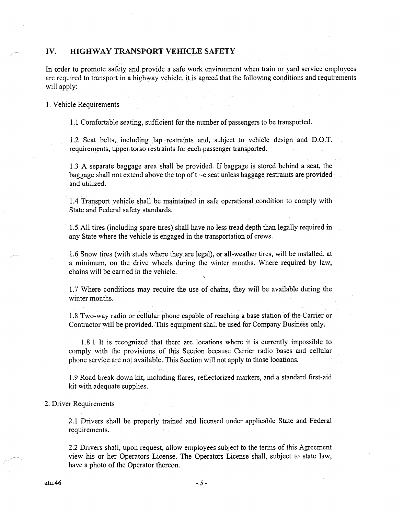#### IV. **HIGHWAY TRANSPORT VEHICLE SAFETY**

In order to promote safety and provide a safe work environment when train or yard service employees are required to transport in a highway vehicle, it is agreed that the following conditions and requirements will apply:

1. Vehicle Requirements

1.1 Comfortable seating, sufficient for the number of passengers to be transported.

1.2 Seat belts, including lap restraints and, subject to vehicle design and D.O.T. requirements, upper torso restraints for each passenger transported.

1.3 A separate baggage area shall be provided. If baggage is stored behind a seat, the baggage shall not extend above the top of  $t \sim e$  seat unless baggage restraints are provided and utilized.

1.4 Transport vehicle shall be maintained in safe operational condition to comply with State and Federal safety standards.

1.5 All tires (including spare tires) shall have no less tread depth than legally required in any State where the vehicle is engaged in the transportation of crews.

1.6 Snow tires (with studs where they are legal), or all-weather tires, will be installed, at a minimum, on the drive wheels during the winter months. Where required by law, chains will be carried in the vehicle.

1.7 Where conditions may require the use of chains, they will be available during the winter months.

1.8 Two-way radio or cellular phone capable of reaching a base station of the Carrier or Contractor will be provided. This equipment shall be used for Company Business only.

1.8.1 It is recognized that there are locations where it is currently impossible to comply with the provisions of this Section because Carrier radio bases and cellular phone service are not available. This Section will not apply to those locations.

1.9 Road break down kit, including flares, reflectorized markers, and a standard first-aid kit with adequate supplies.

2. Driver Requirements

2.1 Drivers shall be properly trained and licensed under applicable State and Federal requirements.

2.2 Drivers shall, upon request, allow employees subject to the terms of this Agreement view his or her Operators License. The Operators License shall, subject to state law, have a photo of the Operator thereon.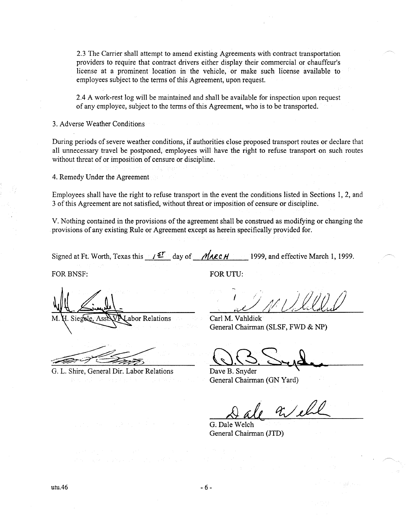2.3 The Carrier shall attempt to amend existing Agreements with contract transportation providers to require that contract drivers either display their commercial or chauffeur's license at a prominent location in the vehicle, or make such license available to employees subject to the terms of this Agreement, upon request.

2.4 A work-rest log will be maintained and shall be available for inspection upon request of any employee, subject to the terms of this Agreement, who is to be transported.

3. Adverse Weather Conditions

During periods of severe weather conditions, if authorities close proposed transport routes or declare that all unnecessary travel be postponed, employees will have the right to refuse transport on such routes without threat of or imposition of censure or discipline.

4. Remedy Under the Agreement

Employees shall have the right to refuse transport in the event the conditions listed in Sections 1, 2, and 3 of this Agreement are not satisfied, without threat or imposition of censure or discipline.

V. Nothing contained in the provisions of the agreement shall be construed as modifying or changing the provisions of any existing Rule or Agreement except as herein specifically provided for.

Signed at Ft. Worth, Texas this  $I \subseteq I$  day of *MarcH* 1999, and effective March 1, 1999.

FOR BNSF: FOR UTU:

 $M$ . H. Siegele, Ass abor Relations

G. L. Shire, General Dir. Labor Relations

Carl M. Vahldick General Chairman (SLSF, FWD & NP)

Dave B. Snyder General Chairman (GN Yard)

 $x/\ell$ 

G. Dale Welch General Chairman (JTD)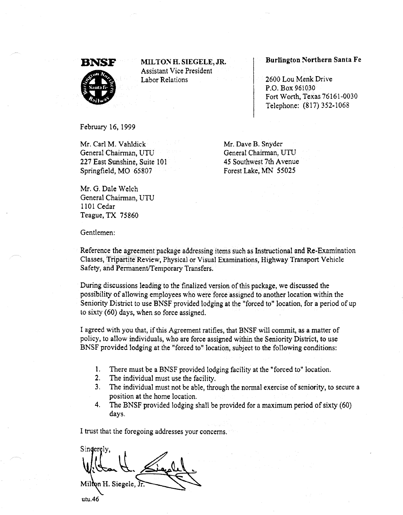

:MIL TO~ H. SIEGELE, JR. Assistant Vice President Labor Relations

#### Burlington Northern Santa Fe

2600 Lou Menk Drive P.O. Box 961030 Fort Worth, Texas 76161-0030 Telephone: (817) 352-1068

February 16, 1999

Mr. Carl M. Vahldick General Chairman, UTU 227 East Sunshine, Suite 101 Springfield, MO 65807

Mr. Dave B. Snyder General Chairman, UTU 45 Southwest 7th Avenue Forest Lake, MN 55025

Mr. G. Dale Welch General Chairman, UTU 1101 Cedar Teague, TX 75860

Gentlemen:

Reference the agreement package addressing items such as Instructional and Re-Examination Classes, Tripartite Review, Physical or Visual Examinations, Highway Transport Vehicle Safety, and Permanent/Temporary Transfers.

During discussions leading to the finalized version of this package, we discussed the possibility of allowing employees \vho were force assigned to another location within the Seniority District to use BNSF provided lodging at the "forced to" location, for a period of up to sixty (60) days, when so force assigned.

I agreed with you that, if this Agreement ratifies, that BNSF will commit, as a matter of policy, to allow individuals, who are force assigned within the Seniority District, to use BNSF provided lodging at the "forced to" location, subject to the following conditions:

- 1. There must be a BNSF provided lodging facility at the "forced to" location.
- 2. The individual must use the facility.
- 3. The individual must not be able, through the normal exercise of seniority, to secure a position at the home location.
- 4. The BNSF provided lodging shall be provided for a maximum period of sixty (60) days.

I trust that the foregoing addresses your concerns.

Sinderely. Milton H. Siegele, Jr. utu.46